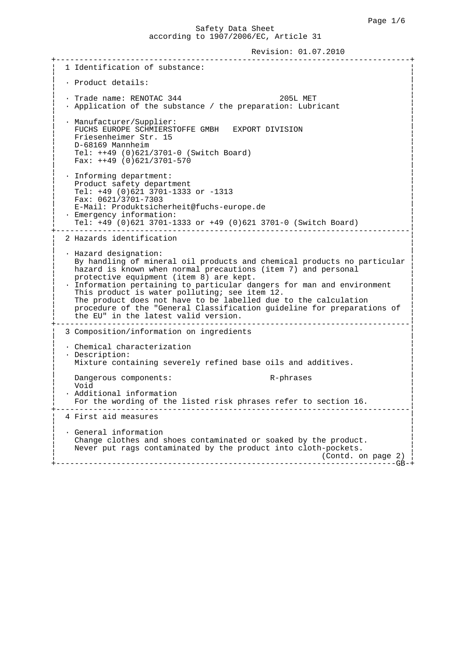Revision: 01.07.2010

 +----------------------------------------------------------------------------+ 1 Identification of substance: ¦ ¦ ¦ · Product details: ¦ ¦ ¦  $\cdot$  Trade name: RENOTAC 344 205L MET • Application of the substance / the preparation: Lubricant ¦ ¦ • Manufacturer/Supplier: FUCHS EUROPE SCHMIERSTOFFE GMBH EXPORT DIVISION Friesenheimer Str. 15 ¦ D-68169 Mannheim ¦ ¦ Tel: ++49 (0)621/3701-0 (Switch Board) ¦ ¦ Fax: ++49 (0)621/3701-570 ¦ ¦ ¦ ¦ · Informing department: ¦ Product safety department ¦ Tel: +49 (0)621 3701-1333 or -1313 ¦ Fax: 0621/3701-7303 E-Mail: Produktsicherheit@fuchs-europe.de • Emergency information: ¦ Tel: +49 (0)621 3701-1333 or +49 (0)621 3701-0 (Switch Board) ¦ +----------------------------------------------------------------------------¦ 2 Hazards identification ¦ ¦ • Hazard designation: By handling of mineral oil products and chemical products no particular hazard is known when normal precautions (item 7) and personal protective equipment (item  $8)$  are kept. • Information pertaining to particular dangers for man and environment This product is water polluting; see item 12. The product does not have to be labelled due to the calculation procedure of the "General Classification guideline for preparations of the EU" in the latest valid version. +----------------------------------------------------------------------------¦ ¦ 3 Composition/information on ingredients ¦ ¦ ¦ • Chemical characterization • Description: Mixture containing severely refined base oils and additives. ¦ ¦ Dangerous components:  $R$ -phrases void ¦ Void ¦ • Additional information For the wording of the listed risk phrases refer to section 16. +----------------------------------------------------------------------------¦ 4 First aid measures ¦ ¦ • General information Change clothes and shoes contaminated or soaked by the product. Never put rags contaminated by the product into cloth-pockets. (Contd. on page 2) +-------------------------------------------------------------------------GB-+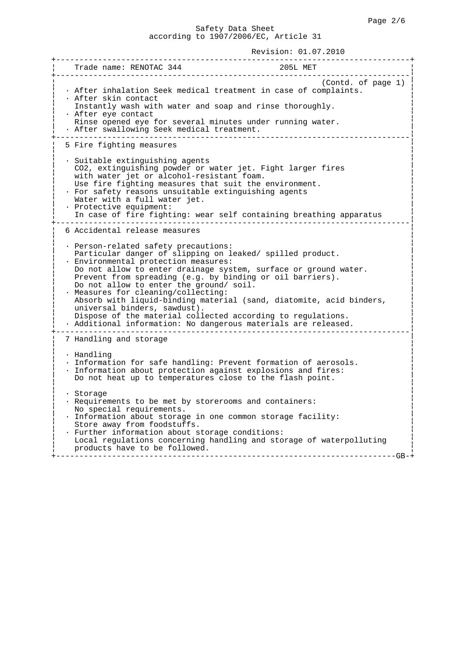| __________________<br>Trade name: RENOTAC 344<br>205L MET                                                                                                                                                                                                                                                                                                                                                                                                                                                                                                                                           |
|-----------------------------------------------------------------------------------------------------------------------------------------------------------------------------------------------------------------------------------------------------------------------------------------------------------------------------------------------------------------------------------------------------------------------------------------------------------------------------------------------------------------------------------------------------------------------------------------------------|
| (Contd. of page 1)<br>· After inhalation Seek medical treatment in case of complaints.<br>• After skin contact<br>Instantly wash with water and soap and rinse thoroughly.<br>· After eye contact<br>Rinse opened eye for several minutes under running water.<br>· After swallowing Seek medical treatment.                                                                                                                                                                                                                                                                                        |
| 5 Fire fighting measures                                                                                                                                                                                                                                                                                                                                                                                                                                                                                                                                                                            |
| · Suitable extinguishing agents<br>CO2, extinguishing powder or water jet. Fight larger fires<br>with water jet or alcohol-resistant foam.<br>Use fire fighting measures that suit the environment.<br>· For safety reasons unsuitable extinguishing agents<br>Water with a full water jet.<br>· Protective equipment:<br>In case of fire fighting: wear self containing breathing apparatus                                                                                                                                                                                                        |
| 6 Accidental release measures                                                                                                                                                                                                                                                                                                                                                                                                                                                                                                                                                                       |
| · Person-related safety precautions:<br>Particular danger of slipping on leaked/ spilled product.<br>· Environmental protection measures:<br>Do not allow to enter drainage system, surface or ground water.<br>Prevent from spreading (e.g. by binding or oil barriers).<br>Do not allow to enter the ground/ soil.<br>· Measures for cleaning/collecting:<br>Absorb with liquid-binding material (sand, diatomite, acid binders,<br>universal binders, sawdust).<br>Dispose of the material collected according to regulations.<br>· Additional information: No dangerous materials are released. |
| 7 Handling and storage                                                                                                                                                                                                                                                                                                                                                                                                                                                                                                                                                                              |
| $\cdot$ Handling<br>· Information for safe handling: Prevent formation of aerosols.<br>· Information about protection against explosions and fires:<br>Do not heat up to temperatures close to the flash point.                                                                                                                                                                                                                                                                                                                                                                                     |
| · Storage<br>· Requirements to be met by storerooms and containers:<br>No special requirements.<br>· Information about storage in one common storage facility:<br>Store away from foodstuffs.<br>· Further information about storage conditions:<br>Local regulations concerning handling and storage of waterpolluting<br>products have to be followed.<br>-GB·                                                                                                                                                                                                                                    |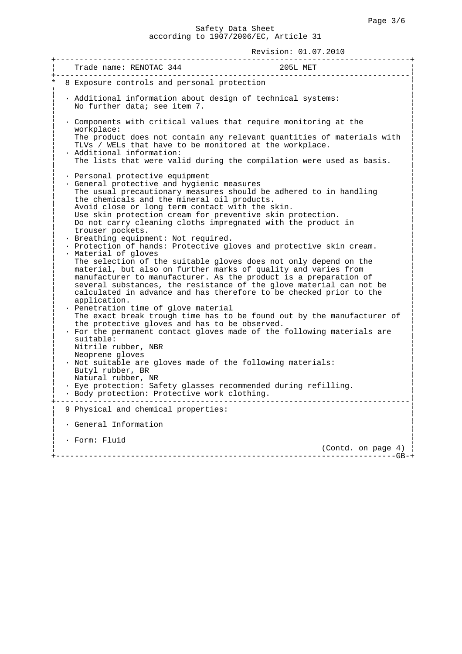| Trade name: RENOTAC 344                                                                                                                                                                                                                                                                                                                                                                     | 205L MET                                                               |
|---------------------------------------------------------------------------------------------------------------------------------------------------------------------------------------------------------------------------------------------------------------------------------------------------------------------------------------------------------------------------------------------|------------------------------------------------------------------------|
| 8 Exposure controls and personal protection                                                                                                                                                                                                                                                                                                                                                 |                                                                        |
| · Additional information about design of technical systems:<br>No further data; see item 7.                                                                                                                                                                                                                                                                                                 |                                                                        |
| . Components with critical values that require monitoring at the<br>workplace:                                                                                                                                                                                                                                                                                                              |                                                                        |
| TLVs / WELs that have to be monitored at the workplace.<br>· Additional information:                                                                                                                                                                                                                                                                                                        | The product does not contain any relevant quantities of materials with |
| The lists that were valid during the compilation were used as basis.                                                                                                                                                                                                                                                                                                                        |                                                                        |
| · Personal protective equipment<br>· General protective and hygienic measures                                                                                                                                                                                                                                                                                                               |                                                                        |
| The usual precautionary measures should be adhered to in handling<br>the chemicals and the mineral oil products.                                                                                                                                                                                                                                                                            |                                                                        |
| Avoid close or long term contact with the skin.                                                                                                                                                                                                                                                                                                                                             |                                                                        |
| Use skin protection cream for preventive skin protection.<br>Do not carry cleaning cloths impregnated with the product in                                                                                                                                                                                                                                                                   |                                                                        |
| trouser pockets.                                                                                                                                                                                                                                                                                                                                                                            |                                                                        |
| · Breathing equipment: Not required.<br>. Protection of hands: Protective gloves and protective skin cream.                                                                                                                                                                                                                                                                                 |                                                                        |
| · Material of gloves<br>The selection of the suitable gloves does not only depend on the<br>material, but also on further marks of quality and varies from<br>manufacturer to manufacturer. As the product is a preparation of<br>several substances, the resistance of the glove material can not be<br>calculated in advance and has therefore to be checked prior to the<br>application. |                                                                        |
| · Penetration time of glove material                                                                                                                                                                                                                                                                                                                                                        | The exact break trough time has to be found out by the manufacturer of |
| the protective gloves and has to be observed.                                                                                                                                                                                                                                                                                                                                               |                                                                        |
| · For the permanent contact gloves made of the following materials are<br>suitable:                                                                                                                                                                                                                                                                                                         |                                                                        |
| Nitrile rubber, NBR<br>Neoprene gloves                                                                                                                                                                                                                                                                                                                                                      |                                                                        |
| . Not suitable are gloves made of the following materials:                                                                                                                                                                                                                                                                                                                                  |                                                                        |
| Butyl rubber, BR<br>Natural rubber, NR                                                                                                                                                                                                                                                                                                                                                      |                                                                        |
| · Eye protection: Safety glasses recommended during refilling.<br>· Body protection: Protective work clothing.                                                                                                                                                                                                                                                                              |                                                                        |
| 9 Physical and chemical properties:                                                                                                                                                                                                                                                                                                                                                         |                                                                        |
| · General Information                                                                                                                                                                                                                                                                                                                                                                       |                                                                        |
| · Form: Fluid                                                                                                                                                                                                                                                                                                                                                                               |                                                                        |
|                                                                                                                                                                                                                                                                                                                                                                                             | (Contd. on page 4)<br>– – –GB– +                                       |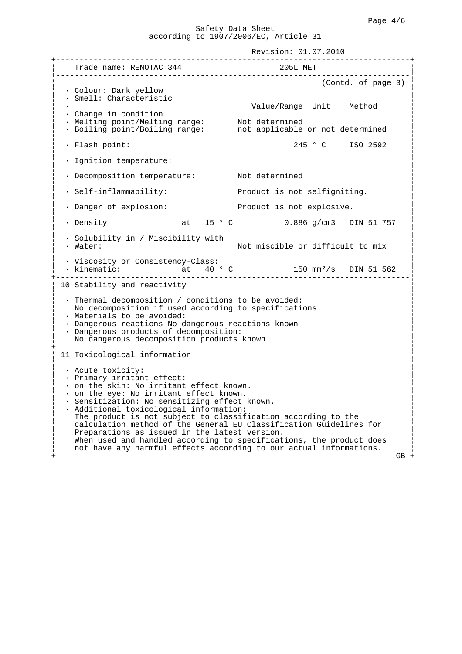Revision: 01.07.2010 +----------------------------------------------------------------------------+ ¦ Trade name: RENOTAC 344 205L MET ¦ +----------------------------------------------------------------------------¦ ¦ (Contd. of page 3) ¦ ¦ · Colour: Dark yellow ¦ • Smell: Characteristic Value/Range Unit Method • Change in condition ¦ · Melting point/Melting range: Not determined ¦ ¦ · Boiling point/Boiling range: not applicable or not determined ¦ ¦ ¦ ¦ · Flash point: 245 ° C ISO 2592 ¦ ¦ ¦ ¦ · Ignition temperature: ¦ ¦ ¦ • Decomposition temperature: Not determined ¦ ¦ • Self-inflammability: Product is not selfigniting. ¦ ¦ ¦ · Danger of explosion: Product is not explosive. ¦ ¦ ¦ ¦ · Density at 15 ° C 0.886 g/cm3 DIN 51 757 ¦ ¦ ¦ ¦ · Solubility in / Miscibility with ¦ ¦ · Water: Not miscible or difficult to mix ¦ ¦ ¦ ¦ · Viscosity or Consistency-Class: ¦  $\cdot$  kinematic:  $\qquad \qquad \text{at} \qquad 40 \text{ }^{\circ} \text{ C}$  +----------------------------------------------------------------------------¦ 10 Stability and reactivity ¦ ¦ • Thermal decomposition / conditions to be avoided: No decomposition if used according to specifications. • Materials to be avoided: • Dangerous reactions No dangerous reactions known • Dangerous products of decomposition: No dangerous decomposition products known +----------------------------------------------------------------------------¦ 11 Toxicological information ¦ ¦ ¦ · Acute toxicity: ¦ • Primary irritant effect: ¦ · on the skin: No irritant effect known. ¦ ¦ · on the eye: No irritant effect known. ¦ · Sensitization: No sensitizing effect known. • Additional toxicological information: The product is not subject to classification according to the calculation method of the General EU Classification Guidelines for Preparations as issued in the latest version. When used and handled according to specifications, the product does not have any harmful effects according to our actual informations. +-------------------------------------------------------------------------GB-+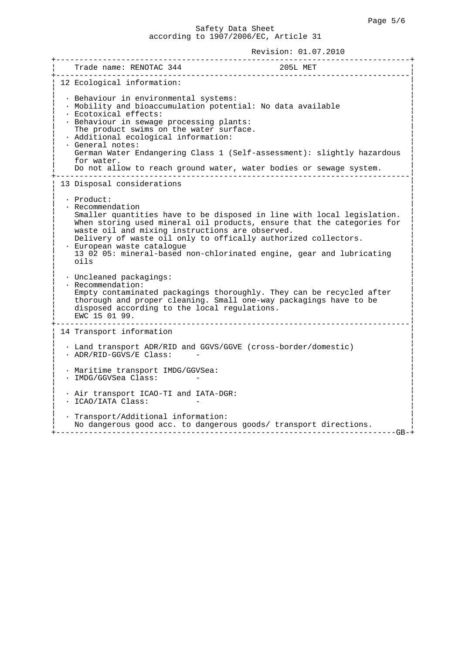| _____________________________                                                                                                                                                                                                                                                                  |                                                                                                                                                                                                                          |
|------------------------------------------------------------------------------------------------------------------------------------------------------------------------------------------------------------------------------------------------------------------------------------------------|--------------------------------------------------------------------------------------------------------------------------------------------------------------------------------------------------------------------------|
| 12 Ecological information:                                                                                                                                                                                                                                                                     |                                                                                                                                                                                                                          |
| · Behaviour in environmental systems:<br>· Mobility and bioaccumulation potential: No data available<br>· Ecotoxical effects:<br>· Behaviour in sewage processing plants:<br>The product swims on the water surface.<br>· Additional ecological information:<br>· General notes:<br>for water. | German Water Endangering Class 1 (Self-assessment): slightly hazardous<br>Do not allow to reach ground water, water bodies or sewage system.                                                                             |
| 13 Disposal considerations                                                                                                                                                                                                                                                                     |                                                                                                                                                                                                                          |
| · Product:<br>• Recommendation<br>waste oil and mixing instructions are observed.<br>Delivery of waste oil only to offically authorized collectors.<br>· European waste catalogue<br>oils                                                                                                      | Smaller quantities have to be disposed in line with local legislation.<br>When storing used mineral oil products, ensure that the categories for<br>13 02 05: mineral-based non-chlorinated engine, gear and lubricating |
| · Uncleaned packagings:<br>· Recommendation:<br>thorough and proper cleaning. Small one-way packagings have to be<br>disposed according to the local regulations.<br>EWC 15 01 99.                                                                                                             | Empty contaminated packagings thoroughly. They can be recycled after<br>_____________                                                                                                                                    |
| 14 Transport information                                                                                                                                                                                                                                                                       |                                                                                                                                                                                                                          |
| · Land transport ADR/RID and GGVS/GGVE (cross-border/domestic)<br>· ADR/RID-GGVS/E Class:                                                                                                                                                                                                      |                                                                                                                                                                                                                          |
| · Maritime transport IMDG/GGVSea:<br>· IMDG/GGVSea Class:                                                                                                                                                                                                                                      |                                                                                                                                                                                                                          |
| . Air transport ICAO-TI and IATA-DGR:<br>· ICAO/IATA Class:                                                                                                                                                                                                                                    |                                                                                                                                                                                                                          |
| · Transport/Additional information:<br>No dangerous good acc. to dangerous goods/ transport directions.                                                                                                                                                                                        |                                                                                                                                                                                                                          |